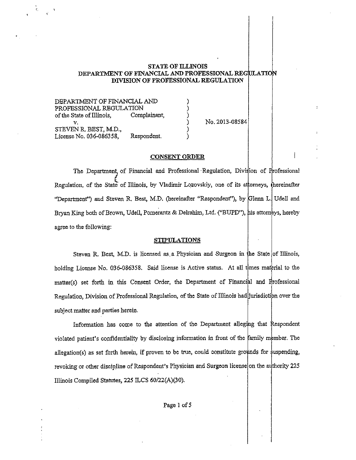### STATE OF ILLINOIS DEPARTMENT OF FINANCIAL AND PROFESSIONAL REGULATION DIVISION OF PROFESSIONAL REGULATION

) ) ) ) ) )

DEPARTMENT OF FINANCIAL AND PROFESSIONAL REGULATION of the State of Illinois, Complainant, v. STEVEN R. BEST, M.D., License No. 036-086358, Respondent.

No. 2013-08584

l

### CONSENT ORDER

The Department of Financial and Professional Regulation, Division of Professional Regulation, of the State of Illinois, by Vladimir Lozovskiy, one of its attorneys, thereinafter "Department") and Steven R. Best, M.D. (hereinafter "Respondent"), by Glenn L. Udell and Bryan King both of Brown, Udell, Pomerantz & Delrahim, Ltd. ("BUPD"), his attorneys, hereby agree to the following:

### **STIPULATIONS**

Steven R. Best, M.D. is licensed as a Physician and Surgeon in the State of Illinois, holding License No. 036-086358. Said license is Active status. At all times material to the  $matter(s)$  set forth in this Consent Order, the Department of Financial and Professional Regulation, Division of Professional Regulation, of the State of Illinois had jurisdiction over the subject matter and parties herein.

Information has come to the attention of the Department alleging that Respondent violated patient's confidentiality by disclosing information in front of the family member. The allegation(s) as set forth herein, if proven to be true, could constitute grounds for suspending, revoking or other discipline of Respondent's Physician and Surgeon license on the authority 225 Illinois Compiled Statutes, 225 lLCS 60/22(A)(30).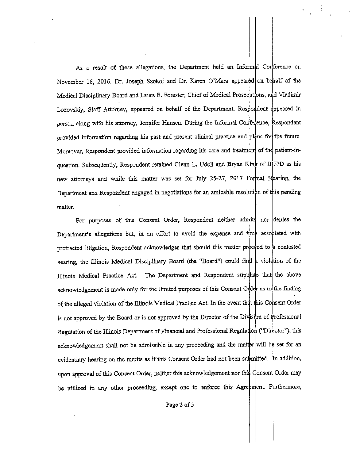As a result of these allegations, the Department held an Informal Conference on November 16, 2016. Dr. Joseph Szokol and Dr. Karen O'Mara appeared on behalf of the Medical Disciplinary Board and Laura E. Forester, Chief of Medical Prosecutions, and Vladimir Lozovskiy, Staff Attorney, appeared on behalf of the Department. Respondent appeared in person along with his attorney, Jennifer Hansen. During the Informal Coriference, Respondent provided information regarding his past and present clinical practice and plans for the future. Moreover, Respondent provided information regarding his care and treatment of the patient-inquestion. Subsequently, Respondent retained Glenn L. Udell and Bryan Kling of BUPD as his new attorneys and while this matter was set for July 25-27, 2017  $\beta$ ormal Hearing, the Department and Respondent engaged in negotiations for an amicable resolution of this pending matter.

For purposes of this Consent Order, Respondent neither admits nor denies the Department's allegations but, in an effort to avoid the expense and time associated with protracted litigation, Respondent acknowledges that should this matter proceed to a contested hearing, the Illinois Medical Disciplinary Board (the "Board") could find a violation of the Illinois Medical Practice Act. The Department and Respondent stipulate that the above acknowledgement is made only for the limited purposes of this Consent Order as to the finding of the alleged violation of the Illinois Medical Practice Act. In the event that this Consent Order is not approved by the Board or is not approved by the Director of the Division of Frofessional Regulation of the Illinois Department of Financial and Professional Regulation ('Director'), this acknowledgement shall not be admissible in any proceeding and the matter will be set for an evidentiary hearing on the merits as if this Consent Order had not been submitted. In addition, upon approval of this Consent Order, neither this acknowledgement nor this Consent Order may be utilized in any other proceeding, except one to enforce this Agreement. Furthermore,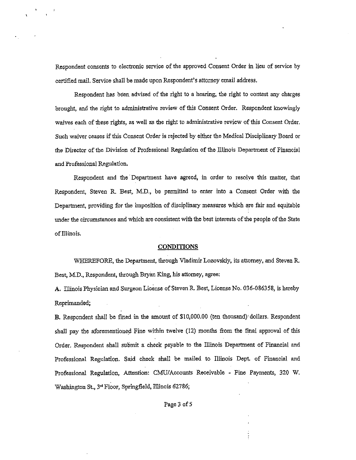Respondent consents to electronic service of the approved Consent Order in lieu of service by certified mail. Service shall be made upon Respondent's attorney email address.

Respondent has been advised of the right to a hearing, the right to contest any charges brought, and the right to administrative review of this Consent Order. Respondent knowingly waives each of these rights, *as* well as the right to administrative review of this Consent Order. Such waiver ceases if this Consent Order is rejected by either the Medical Disciplinary Board or the Director of the Division of Professional Regulation of the Illinois Department of Financial and Professional Regulation.

Respondent and the Department have agreed, in order to resolve this matter, that Respondent, Steven R. Best, M.D., be permitted to enter into a Consent Order with the Department, providing for the imposition of disciplinary measures which are fair and equitable under the circumstances and which are consistent with the best interests of the people of the State of Illinois.

### **CONDITIONS**

WHEREFORE, the Department, thtough Vladimir Lozovskiy, its attorney, and Steven R. Best, M.D., Respondent, through Bryan King, his attorney, agree:

**A.** Illinois Physician and Surgeon License of Steven R. Best, License No. 036-086358, is hereby Reprimanded;

**B.** Respondent shall be fmed in the amount of \$10,000.00 (ten thousand)· dollars. Respondent shall pay the aforementioned Fine within twelve (12) months from the final approval of this Order. Respondent shall submit a check payable to the Illinois Department of Financial and Professional Regulation. Said check shall be mailed to Illinois Dept. of Financial and Professional Regulation, Attention: CM:U/Accounts Reeeivable - Fine Payments, 320 W. Washington St., 3<sup>rd</sup> Floor, Springfield, Illinois 62786;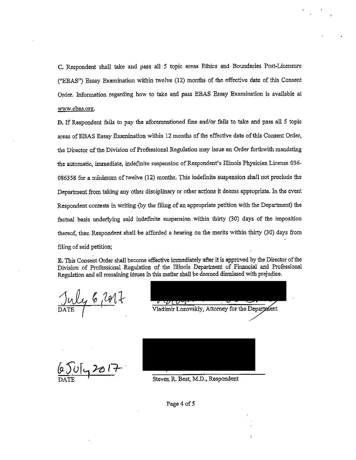C. Respondent shall take and pass all *5* topic areas Ethics and Boundaries Post-Licensure ("EBAS") Essay Examination within twelve (12) months of the effective date of this Consent Order. Information regarding how to take and pass EBAS Essay Examination is available at www.ebas.org.

D. If Respondent fails to pay the aforementioned fine and/or fails to. take and pass all *5* topic areas of EBAS Essay Examination within 12 months of the effective date of this Consent Order, the Director of the Division of Professional Regulation may issue an Order forthwith mandating the automatic, immediate, indefinite suspension of Respondent's Illinois Physician License 036- 086358 for a minimum of twelve (12) months. This indefinite suspension shall not preclude the Department from taking any other disciplinary or other actions it deems appropriate. In the event Respondent contests in writing (by the filing of an appropriate petition with the Department) the factual basis underlying said indefmite suspension within. thirty (30) days of the imposition thereof, then Respondent shall be afforded a hearing on the merits within thirty (30) days from fi)jng of said petition;

E. This Consent Order shall become effective immediately after it is approved by the Director of the Division of Professional Regulation of the Illinois Department of Financial and Professional Regulation and all remaining issues ih this matter shall be deemed dismissed with prejudice.

July 6 2017

Victor Contract Constant Construction Construction Construction Construction Construction Construction Construction Construction Construction Construction Construction Construction Construction Construction Construction Co

 $U_{12}$ 201

Steven R. Best, M.D., Respondent

Page 4 of 5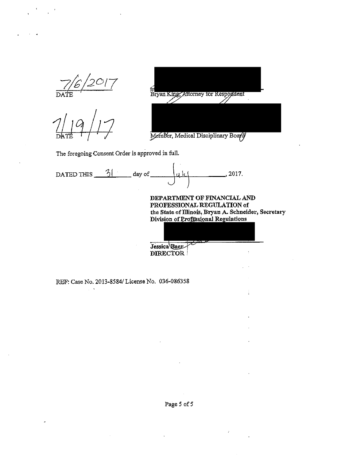



Member, Medical Disciplinary Board

The foregoing Consent Order is approved in full.

| DATED THIS | day of                          | . 2017.                                                                                                                                                   |  |
|------------|---------------------------------|-----------------------------------------------------------------------------------------------------------------------------------------------------------|--|
|            |                                 | DEPARTMENT OF FINANCIAL AND<br>PROFESSIONAL REGULATION of<br>the State of Illinois, Bryan A. Schneider, Secretary<br>Division of Professional Regulations |  |
|            | Jessica Baer<br><b>DIRECTOR</b> |                                                                                                                                                           |  |

REF: Case No. 2013-8584/ License No. 036-086358

 $\sim$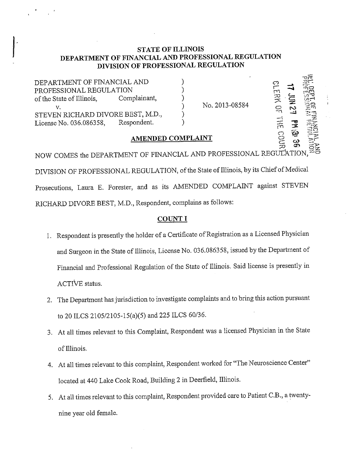# **STATE OF ILLINOIS DEPARTMENT OF FINANCIAL AND PROFESSIONAL REGULATION DIVISION OF PROFESSIONAL REGULATION**

) ) ) ) ) )

DEPARTMENT OF FINANCIAL AND PROFESSIONAL REGULATION of the State of Illinois, Complainant, v. STEVEN RICHARD DIVORE BEST, M.D., License No. 036.086358, Respondent.

No. 2013-08584

 $-77.$ 

 $\frac{2}{\pi}$  =  $\frac{2}{\pi}$ \_,. ;-Qr: **o·** 

로: <u>양</u><br>로: 1 유 <u>업</u> 뢝

r~ <sup>~</sup>5~ *<sup>0</sup>*;If~ '--~- **<sup>0</sup>l'Z'** *,-y*   $\frac{1}{2}$   $\frac{1}{3}$   $\frac{1}{3}$   $\frac{1}{2}$ 

# **AMENDED COMPLAINT**

NOW COMES the DEPARTMENT OF FINANCIAL AND PROFESSIONAL REGULATION DIVISION OF PROFESSIONAL REGULATION, of the State of Illinois, by its Chief of Medical Prosecutions, Laura E. Forester, and as its AMENDED COMPLAINT against STEVEN RICHARD DIVORE BEST, M.D., Respondent, complains as follows:

## **COUNT I**

- L Respondent is presently the holder of a Certificate of Registration as a Licensed Physician and Surgeon in the State of Illinois, License No. 036.086358, issued by the Department of Financial and Professional Regulation of the State of Illinois. Said license is presently in ACTIVE status.
- 2. The Department has jurisdiction to investigate complaints and to bring this action pursuant to 20 ILCS 2105/2105-15(a)(5) and 225 ILCS 60/36.
- 3. At all times relevant to this Complaint, Respondent was a licensed Physician in the State of Illinois.
- 4. At all times relevant to this complaint, Respondent worked for "The Neuroscience Center" located at 440 Lake Cook Road, Building 2 in Deerfield, Illinois.
- 5. At all times relevant to this complaint, Respondent provided care to Patient C.B., a twentynine year old female.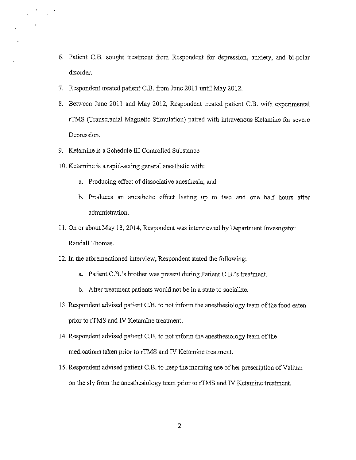- 6. Patient C.B. sought treatment from Respondent for depression, anxiety, and bi-polar disorder.
- 7. Respondent treated patient C.B. from June 2011 until May 2012.
- 8. Between June 2011 and May 2012, Respondent treated patient C.B. with experimental rTMS (Transcranial Magnetic Stimulation) paired with intravenous Ketamine for severe Depression.
- 9. Ketamine is a Schedule III Controlled Substance

 $\frac{1}{\sqrt{t}} = \frac{1}{t}$ 

- 10. Ketamine is a rapid-acting general anesthetic with:
	- a. Producing effect of dissociative anesthesia; and
	- b. Produces an anesthetic effect lasting up to two and one half hours after administration.
- 11. On or about May 13,2014, Respondent was interviewed by Department Investigator Randall Thomas.
- 12. In the aforementioned interview, Respondent stated the following:
	- a. Patient C.B. 's brother was present during Patient C.B. 's treatment.
	- b. After treatment patients would not be in a state to socialize.
- 13. Respondent advised patient C.B. to not inform the anesthesiology team of the food eaten prior to rTMS and IV Ketamine treatment.
- 14. Respondent advised patient C.B. to not inform the anesthesiology team of the medications taken prior to rTMS and IV Ketamine treatment.
- 15. Respondent advised patient C.B. to keep the morning use of her prescription of Valium on the sly from the anesthesiology team prior to rTMS and IV Ketamine treatment.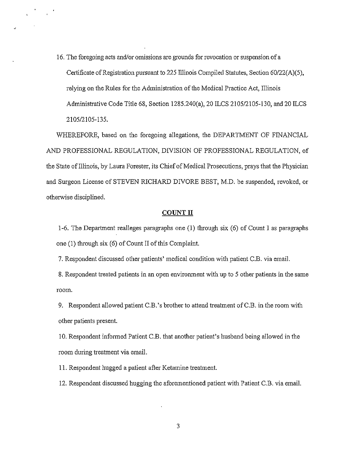16. The foregoing acts and/or omissions are grounds for revocation or suspension of a Certificate of Registration pursuant to 225 Illinois Compiled Statutes, Section 60/22(A)(5), relying on the Rules for the Administration of the Medical Practice Act, Illinois Administrative Code Title 68, Section !285.240(a), 20 ILCS 2105/2105-130, and 20 ILCS 2105/2105-135.

 $\mathcal{F} = \frac{1}{2} \mathcal{F}$ 

WHEREFORE, based on the foregoing allegations, the DEPARTMENT OF FINANCIAL AND PROFESSIONAL REGULATION, DIVISION OF PROFESSIONAL REGULATION, of the State of illinois, by Laura Forester, its Chief of Medical Prosecutions, prays that the Physician and Surgeon License of STEVEN RICHARD DIVORE BEST, M.D. be suspended, revoked, or otherwise disciplined.

### **COUNT II**

1-6. The Department realleges paragraphs one (1) through six (6) of Count I as paragraphs one (1) through six (6) of Count II of this Complaint.

7. Respondent discussed other patients' medical condition with patient C.B. via email.

8. Respondent treated patients in an open environment with up to 5 other patients in the same room.

9. Respondent allowed patient C.B. 's brother to attend treatment of C.B. in the room with other patients present.

10. Respondent infonned Patient C.B. that another patient's husband being allowed in the room during treatment via email.

11. Respondent hugged a patient after Ketamine treatment.

12. Respondent discussed hugging the aforementioned patient with Patient C.B. via email.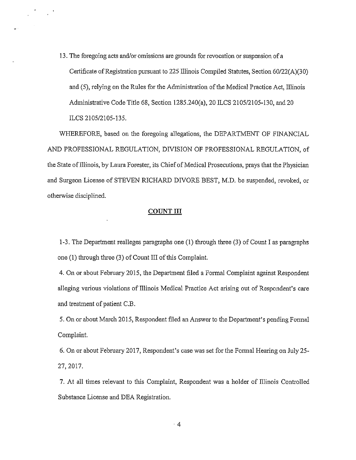13. The foregoing acts and/or omissions are grounds for revocation or suspension of a Certificate of Registration pursuant to 225 Illinois Compiled Statutes, Section 60/22(A)(30) and (5), relying on the Rules for the Administration of the Medical Practice Act, Illinois Administrative Code Title 68, Section 1285.240(a), 20 ILCS 2105/2105-130, and 20 ILCS 2105/2105-135.

 $\frac{1}{2} \left( \frac{1}{2} \frac{d^2}{dx^2} + \frac{1}{2} \frac{d^2}{dx^2} \right) = \frac{1}{2} \left( \frac{d^2}{dx^2} + \frac{1}{2} \frac{d^2}{dx^2} \right)$ 

WHEREFORE, based on the foregoing allegations, the DEPARTMENT OF FINANCIAL AND PROFESSIONAL REGULATION, DIVISION OF PROFESSIONAL REGULATION, of the State of Illinois, by Laura Forester, its Chief of Medical Prosecutions, prays that the Physician and Surgeon License of STEVEN RICHARD DIVORE BEST, M.D. be suspended, revoked, or otherwise disciplined.

### **COUNT III**

1-3. The Department realleges paragraphs one (1) through three (3) of Count I as paragraphs one **(1)** through three (3) of Count III of this Complaint.

4. On or about February 2015, the Department filed a Formal Complaint against Respondent alleging various violations of Illinois Medical Practice Act arising out of Respondent's care and treatment of patient C.B.

5. On or about March 2015, Respondent filed an Answer to the Department's pending Fonnal Complaint.

6. On or about February 2017, Respondent's case was set for the Fonnal Hearing on July 25- 27,2017.

7. At all times relevant to this Complaint, Respondent was a holder of Illinois Controlled Substance License and DEA Registration.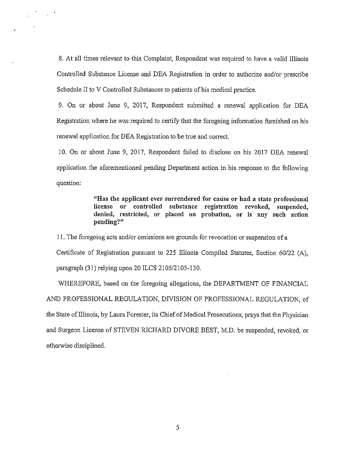8. At ail times relevant to this Complaint, Respondent was required to have a valid Illinois Controlled Substance License and DEA Registration in order to authorize and/or prescribe Schedule II to V Controlled Substances to patients of his medical practice.

 $\mathcal{F} = \mathcal{F} \mathcal{F}$ 

9. On or about June 9, 2017, Respondent submitted a renewal application for DEA Registration where he was required to certify that the foregoing information fumished on his renewal application for DEA Registration to be tme and correct.

10. On or about June 9, 2017, Respondent failed to disclose on his 2017 DEA renewal application the aforementioned pending Department action in his response to the foilowing question:

> "Has the applicant ever surrendered for cause or had a state professional license or controlled substance registration revoked, suspended, denied, restricted, or placed on probation, or is any such action pending?"

11. The foregoing acts and/or omissions are grounds for revocation or suspension of <sup>a</sup> Certificate of Registration pursuant to 225 Illinois Compiled Statutes, Section 60/22 (A), paragraph (31) relying upon 20 ILCS 2105/2105-130.

WHEREFORE, based on the foregoing ailegations, the DEPARTMENT OF FINANCIAL AND PROFESSIONAL REGULATION, DIVISION OF PROFESSIONAL REGULATION, of the State of Illinois, by Laura Forester, its Chief of Medical Prosecutions, prays that the Physician and Surgeon License of STEVEN RICHARD DIVORE BEST, M.D. be suspended, revoked, or otherwise disciplined.

5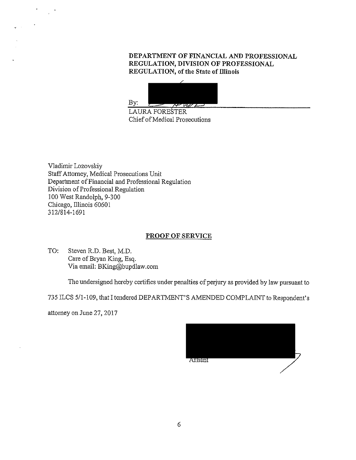# **DEPARTMENT OF FINANCIAL AND PROFESSIONAL REGULATION, DIVISION OF PROFESSIONAL REGULATION, of the State of Illinois**



LAURA FORESTER Chief of Medical Prosecutions

Vladimir Lozovskiy Staff Attorney, Medical Prosecutions Unit Department of Financial and Professional Regulation Division of Professional Regulation 100 West Randolph, 9-300 Chicago, lllinois 60601 312/814-1691

# **PROOF OF SERVICE**

TO: Steven R.D. Best, M.D. Care of Bryan King, Esq. Via email: BKing@bupdlaw.com

The undersigned hereby certifies under penalties of perjury as provided by law pursuant to

735 ILCS 5/1-109, that I tendered DEPARTMENT'S AMENDED COMPLAINT to Respondent's

attorney on June 27, 2017

 $\sim 10^{-4}$ 

| Attiant |  |
|---------|--|
|         |  |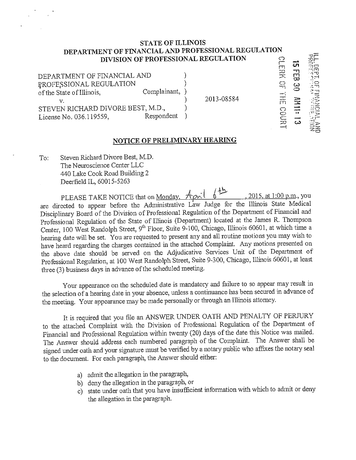#### **STATE OF ILLINOIS DEPARTMENT OF FINANCIAL AND PROFESSIONAL REGULATION DIVISION OF PROFESSIONAL REGULATION** <sup>o</sup> r

) )

> ) ) )

DEPARTMENT OF FINANCIAL AND P,ROFE,SSIONAL REGULATION of the State of Illinois, Complainant, v. STEVEN RICHARD DIVORE BEST, M.D., License No. 036.119559, Respondent

2013-08584

<u>ញ</u>

**COURT** 

-.. **w** 

<u>ភា</u>

-

:~~

:.:::..:  $: -1$ **::.:1.-**  $-$ ~z -~o

# **NOTICE OF PRELIMINARY HEARING**

To: Steven Richard Divore Best, M.D. The Neuroscience Center LLC 440 Lake Cook Road Building 2 Deerfield IL, 60015-5263

PLEASE TAKE NOTICE that on <u>Monday. April 6</u><sup>12</sup>, 2015, at 1:00 p.m., you are directed to appear before the Administrative Law Judge for the Illinois State Medical Disciplinary Board of the Division of Professional Regulation of the Department of Financial and Professional Regulation of the State of Illinois (Department) located at the James R. Thompson Center, 100 West Randolph Street, 9<sup>th</sup> Floor, Suite 9-100, Chicago, Illinois 60601, at which time a hearing date will be set. You are requested to present any and all routine motions you may wish to have heard regarding the charges contained in the attached Complaint. Any motions presented on the above date should be served on the Adjudicative Services Unit of the Department of Professional Regulation, at 100 West Randolph Street, Suite 9-300, Chicago, Illinois 60601, at least three (3) business days in advance of the scheduled meeting.

Your appearance on the scheduled date is mandatory and failure to so appear may result in the selection of a hearing date in your absence, unless a continuance has been secured in advance of the meeting. Your appearance may be made personally or through an Illinois attomey.

It is required that you file an ANSWER UNDER OATH AND PENALTY OF PERJURY to the attached Complaint with the Division of Professional Regulation of the Deprutment of Financial and Professional Regulation within twenty (20) days of the date this Notice was mailed. The Answer should address each numbered paragraph of the Complaint. The Answer shall be signed under oath and your signature must be verified by a notary public who affixes the notary seal to the document. For each paragraph, the Answer should either:

- a) admit the allegation in the paragraph,
- b) deny the allegation in the paragraph, or
- c) state under oath that you have insufficient information with which to admit or deny the allegation in the paragraph.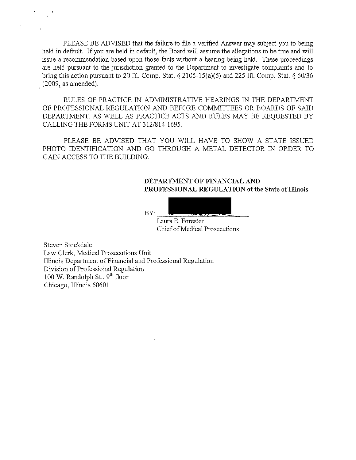PLEASE BE ADVISED that the failure to file a verified Answer may subject you to being held in default. If you are held in default, the Board will assume the allegations to be true and will issue a recommendation based upon those facts without a hearing being held. These proceedings are held pursuant to the jurisdiction granted to the Department to investigate complaints and to bring this action pursuant to 20 Ill. Comp. Stat. § 2105-15(a)(5) and 225 Ill. Comp. Stat. § 60/36  $(2009, as amended).$ 

RULES OF PRACTICE IN ADMINISTRATIVE HEARINGS IN THE DEPARTMENT OF PROFESSIONAL REGULATION AND BEFORE COMMITTEES OR BOARDS OF SAID DEPARTMENT, AS WELL AS PRACTICE ACTS AND RULES MAY BE REQUESTED BY CALLING THE FORMS UNIT AT 312/814-1695.

PLEASE BE ADVISED THAT YOU WILL HAVE TO SHOW A STATE ISSUED PHOTO IDENTIFICATION AND GO THROUGH A METAL DETECTOR IN ORDER TO GAIN ACCESS TO THE BUILDING.

## **DEPARTMENT OF FINANCIAL AND** PROFESSIONAL REGULATION of the State of Illinois

 $BY:$ 

Laura E. Forester Chief of Medical Prosecutions

Steven Stockdale Law Clerk, Medical Prosecutions Unit Illinois Department of Financial and Professional Regulation Division of Professional Regulation 100 W. Randolph St., 9<sup>th</sup> floor Chicago, Illinois 60601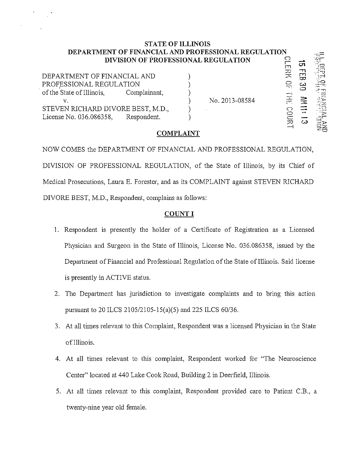### **STATE OF ILLINOIS DEPARTMENT OF FINANCIAL AND PROFESSIONAL REGULATION DIVISION OF PROFESSIONAL REGULATION**  $\begin{bmatrix} 0 & \mathbf{a} \\ \mathbf{b} & \mathbf{c} \end{bmatrix}$ r1

,-;:;:  $z$ ;- $\cdot$ : **-,o** 

읖죽

| DEPARTMENT OF FINANCIAL AND<br>PROFESSIONAL REGULATION<br>of the State of Illinois,<br>Complainant, | No. 2013-08584 | <b>Artis</b><br>ు⇔ |
|-----------------------------------------------------------------------------------------------------|----------------|--------------------|
| STEVEN RICHARD DIVORE BEST, M.D.,<br>License No. 036.086358,<br>Respondent.                         |                |                    |

## **COMPLAINT**

NOW COMES the DEPARTMENT OF FINANCIAL AND PROFESSIONAL REGULATION, DIVISION OF PROFESSIONAL REGULATION, of the State of Illinois, by its Chief of Medical Prosecutions, Laura E. Forester, and as its COMPLAINT against STEVEN RICHARD DIVORE BEST, M.D., Respondent, complains as follows:

# **COUNT I**

- l. Respondent is presently the holder of a Certificate of Registration as a Licensed Physician and Surgeon in the State of Illinois, License No. 036.086358, issued by the Department of Financial and Professional Regulation of the State of Illinois. Said license is presently in ACTIVE status.
- 2. The Department has jurisdiction to investigate complaints and to bring this action pursuant to 20 ILCS 2105/2105-15(a)(5) and 225 ILCS 60/36.
- 3. At all times relevant to this Complaint, Respondent was a licensed Physician in the State of Illinois.
- 4. At all times relevant to this complaint, Respondent worked for "The Neuroscience Center" located at 440 Lake Cook Road, Building 2 in Deerfield, Illinois.
- 5. At all times relevant to this complaint, Respondent provided care to Patient C.B., a twenty-nine year old female.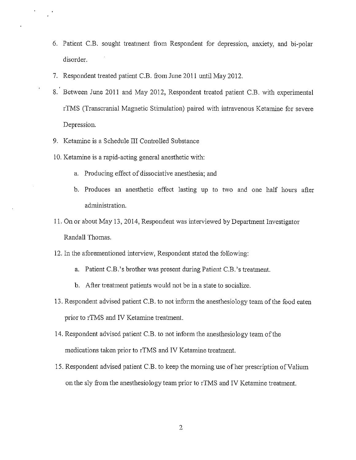- 6. Patient C.B. sought treatment from Respondent for depression, anxiety, and bi-polar disorder.
- 7. Respondent treated patient C.B. from June 2011 until May 2012.
- 8. Between June 2011 and May 2012, Respondent treated patient C.B. with experimental riMS (Transcranial Magnetic Stimulation) paired with intravenous Ketamine for severe Depression.
- 9. Ketamine is a Schedule III Controlled Substance
- 10. Ketamine is a rapid-acting general anesthetic with:
	- a. Producing effect of dissociative anesthesia; and
	- b. Produces an anesthetic effect lasting up to two and one half hours after administration.
- 11. On or about May 13, 2014, Respondent was interviewed by Department Investigator Randall Thomas.
- 12. In the aforementioned interview, Respondent stated the following:
	- a. Patient C.B.'s brother was present during Patient C.B.'s treatment.
	- b. After treatment patients would not be in a state to socialize.
- 13. Respondent advised patient C.B. to not inform the anesthesiology team of the food eaten prior to rTMS and IV Ketamine treatment.
- 14. Respondent advised patient C.B. to not inform the anesthesiology team of the medications taken prior to rTMS and IV Ketamine treatment.
- 15. Respondent advised patient C.B. to keep the moming use of her prescription of Valium on the sly from the anesthesiology team prior to rTMS and IV Ketamine treatment.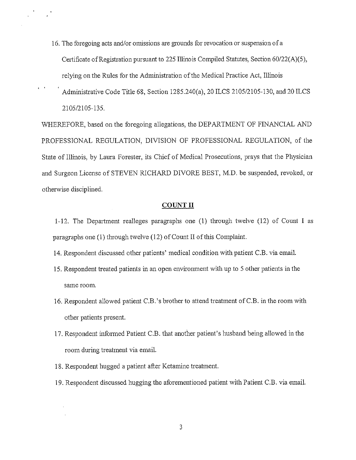- 16. The foregoing acts and/or omissions are grounds for revocation or suspension of <sup>a</sup> Certificate of Registration pursuant to 225 Illinois Compiled Statutes, Section  $60/22(A)(5)$ , relying on the Rules for the Administration of the Medical Practice Act, Illinois
- Administrative Code Title 68, Section 1285.240(a), 20 ILCS 2105/2105-130, and 20 ILCS 2105/2105-135.

 $\mathfrak{r} \subset \mathfrak{r}$ 

WHEREFORE, based on the foregoing allegations, the DEPARTMENT OF FINANCIAL AND PROFESSIONAL REGULATION, DIVISION OF PROFESSIONAL REGULATION, of the State of Illinois, by Laura Forester, its Chief of Medical Prosecutions, prays that the Physician and Surgeon License of STEVEN RICHARD DIVORE BEST, M.D. be suspended, revoked, or otherwise disciplined.

### **COUNT II**

1-12. The Department realleges paragraphs one (1) through twelve (12) of Count I as paragraphs one (1) through twelve (12) of Count II of this Complaint.

- 14. Respondent discussed other patients' medical condition with patient C.B. via email.
- 15. Respondent treated patients in an open environment with up to 5 other patients in the same room.
- 16. Respondent allowed patient C.B. 's brother to attend treatment ofC.B. in the room with other patients present.
- 17. Respondent informed Patient C.B. that another patient's husband being allowed in the room during treatment via email.
- 18. Respondent hngged a patient after Ketamine treatment.
- 19. Respondent discussed hugging the aforementioned patient with Patient C.B. via email.